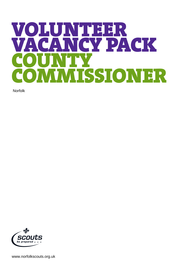# VOLUNTEER<br>VACANCY DA **NCY PACK**  $\mathbf{N}'$ COMMISSIONER

Norfolk



www.norfolkscouts.org.uk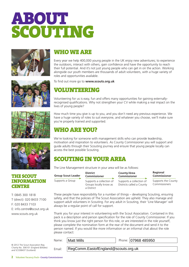



# WHO WE ARE

Every year we help 400,000 young people in the UK enjoy new adventures; to experience the outdoors, interact with others, gain confidence and have the opportunity to reach their full potential. And it's not just young people who can get in on the action. Working alongside our youth members are thousands of adult volunteers, with a huge variety of roles and opportunities available.

To find out more go to **[www.scouts.org.uk](http://www.scouts.org.uk)**

# VOLUNTEERING

Volunteering for us is easy, fun and offers many opportunities for gaining externallyrecognised qualifications. Why not strengthen your CV while making a real impact on the lives of young people?



THE SCOUT

T: 0845 300 1818

F: 020 8433 7103

www.scouts.org.uk

**CENTRE** 

INFORMATION

T (direct): 020 8433 7100

E: info.centre@scout.org.uk

How much time you give is up to you, and you don't need any previous experience. We have a huge variety of roles to suit everyone, and whatever you choose, we'll make sure you're properly trained and supported.

# WHO AREYOU?

We're looking for someone with management skills who can provide leadership, motivation and inspiration to volunteers. As County Commissioner you will support and guide adults through their Scouting journey and ensure that young people locally can access the best possible Scouting.

# SCOUTING IN YOUR AREA

The Line Management structure in your area will be as follows:

**Group Scout Leader**

Supports a Group

**District Commissioner** Supports a collection of Groups locally know as a District

**County/Area Commissioner** Supports a collection of Districts called a County **Regional Commissioner**

Supports the County Commissioners

These people have responsibility for a number of things – developing Scouting, ensuring safety, and that the policies of The Scout Association are upheld. They also manage and support adult volunteers in Scouting. For any adult in Scouting, their 'Line Manager' will always be a regular point of call for support.

Thank you for your interest in volunteering with the Scout Association. Contained in this pack is a description and person specification for the role of County Commissioner. If you think you know just the right person for this role, or are interested in the role yourself, please complete the nomination form at the rear of the document and send it to the person named. If you would like more information or an informal chat about the role please contact:

Name: | Matt Mills

© 2012 The Scout Association Reg Charity No. 306101 (England &Wales) and SC038437 (Scotland)

Phone: 07968 485950

RegComm.EastofEngland@scouts.org.uk

Email:

2 Volunteer Vacancy Pack– County Commissioner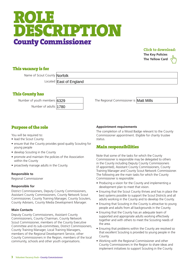# ROLE DESCRIPTION County Commissioner

#### Click to download:

**[The Key Policies](http://scouts.org.uk/supportresources/1978/the-key-policies-of-the-scout-association-fs500005?moduleID=10) [The Yellow Card](http://scouts.org.uk/supportresources/3099/young-people-first-code-of-good-practice-for-adults-yellow-card?moduleID=10&cat=299,304)**



Name of Scout County Norfolk

Located **East of England** 

#### This County has

Number of adults

| ś | ?329   |
|---|--------|
|   | 11.780 |

Number of youth members 6329 **Mathems** The Regional Commissioner is **Matt Mills** 

### Purpose of the role

You will be required to:

- lead the Scout County
- ensure that the County provides good quality Scouting for young people
- develop Scouting in the County
- promote and maintain the policies of the Association within the County
- proactively manage adults in the County.

#### **Responsible to**

Regional Commissioner

#### **Responsible for**

District Commissioners, Deputy County Commissioners, Assistant County Commissioners, County Network Scout Commissioner, County Training Manager, County Scouters, County Advisers, County Media Development Manager.

#### **Main Contacts**

Deputy County Commissioners, Assistant County Commissioners, County Chairman, County Network Scout Commissioner, members of the County Executive Committee and its sub-committees, District Commissioners, County Training Manager, Local Training Managers, members of the Regional Development Service, other County Commissioners in the Region, members of the local community, schools and other youth organisations.

#### **Appointment requirements**

The completion of a Wood Badge relevant to the County Commissioner appointment. Eligible for charity trustee status.

#### Main responsibilities

Note that some of the tasks for which the County Commissioner is responsible may be delegated to others in the County including Deputy County Commissioners (if appointed), Assistant County Commissioners, County Training Manager and County Scout Network Commissioner. The following are the main tasks for which the County Commissioner is responsible:

- Producing a vision for the County and implementing a development plan to meet that vision.
- Ensuring that the Scout County thrives and has in place the best systems possible to support the Scout Districts and all adults working in the County and to develop the County.
- Ensuring that Scouting in the County is attractive to young people and adults from all backgrounds in the County.
- Ensuring that the County has an adequate team of supported and appropriate adults working effectively together and with others to meet the Scouting needs of the area.
- Ensuring that problems within the County are resolved so that excellent Scouting is provided to young people in the County.
- Working with the Regional Commissioner and other County Commissioners in the Region to share ideas and implement initiatives to support Scouting in the County.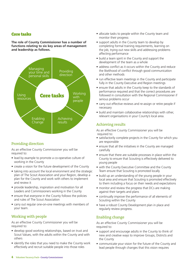#### Core tasks

**The role of County Commissioner has a number of functions relating to six key areas of management and leadership as follows.**



#### Providing direction

As an effective County Commissioner you will be required to:

- lead by example to promote a co-operative culture of working in the County
- create a vision for the future development of the County
- taking into account the local environment and the strategic plan of The Scout Association and your Region, develop a plan for the County and work with others to implement and review it
- provide leadership, inspiration and motivation for all Leaders and Commissioners working in the County
- ensure that everyone in the County follows the policies and rules of The Scout Association
- carry out regular one-on-one meetings with members of your team.

#### Working with people

As an effective County Commissioner you will be required to:

- develop good working relationships, based on trust and Scout Values, with the adults within the County and with others
- identify the roles that you need to make the County work effectively and recruit suitable people into those roles
- allocate tasks to people within the County team and monitor their progress
- support adults in the County team to develop by completing formal training requirements, learning on the job, trying out new skills and addressing problems affecting performance
- build a team spirit in the County and support the development of the team as a whole
- address conflict as it occurs within the County and reduce the likelihood of conflict through good communication and other methods
- $\bullet$  run effective team meetings in the County and participate fully in the County Executive and Region meetings
- ensure that adults in the County keep to the standards of performance required and that the correct procedures are followed in consultation with the Regional Commissioner if serious problems occur
- carry out effective reviews and re-assign or retire people if necessary
- build and maintain collaborative relationships with other, relevant organisations in your County's local area.

#### Achieving results

As an effective County Commissioner you will be required to:

- satisfactorily complete projects in the County for which you are responsible
- ensure that all the initiatives in the County are managed carefully
- ensure that there are suitable processes in place within the County to ensure that Scouting is effectively delivered to young people
- with the County Executive Committee and the County Team ensure that Scouting is promoted locally
- build up an understanding of the young people in your local area and ensure that Scouting is promoted effectively to them including a focus on their needs and expectations
- monitor and review the progress that DCs are making against their targets and plans
- continually improve the performance of all elements of Scouting within the County
- have a robust County Development plan in place and regularly review progress.

#### Enabling change

As an effective County Commissioner you will be required to:

- support and encourage adults in the County to think of new and creative ways to improve Groups, Districts and the County
- communicate your vision for the future of the County and lead people through changes that this vision requires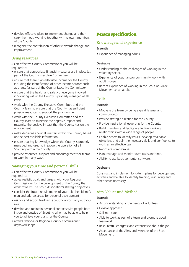- develop effective plans to implement change and then carry them out, working together with relevant members of the County
- recognise the contribution of others towards change and improvement.

#### Using resources

As an effective County Commissioner you will be required to:

- ensure that appropriate financial measures are in place (as part of the County Executive Committee)
- ensure that there is an adequate income for the County including the identification of other income sources such as grants (as part of the County Executive Committee)
- ensure that the health and safety of everyone involved in Scouting within the County is properly managed at all levels
- work with the County Executive Committee and the County Team to ensure that the County has sufficient physical resources to support the programme
- work with the County Executive Committee and the County Team to minimise the negative impact and maximise the positive impact that the County has on the environment
- make decisions about all matters within the County based on the best available information
- ensure that key knowledge within the County is properly managed and used to improve the operation of all Scouting within the County
- provide resources, support and encouragement for teams to work in many ways.

#### Managing your time and personal skills

As an effective County Commissioner you will be required to:

- agree realistic goals and targets with your Regional Commissioner for the development of the County that work towards The Scout Association's strategic objectives
- consider the future requirements of your role then identify, plan and address areas for personal development
- ask for and act on feedback about how you carry out your role
- develop and maintain personal contacts with people both inside and outside of Scouting who may be able to help you to achieve your plans for the County
- attend National or Regional County Commisioner days/workshops.

#### Person specification

#### Knowledge and experience

#### **Essential**

• Experience of managing adults.

#### **Desirable**

- Understanding of the challenges of working in the voluntary sector.
- Experience of youth and/or community work with adult groups.
- Recent experience of working in the Scout or Guide Movement as an adult.

#### Skills

#### **Essential**

- Motivate the team by being a great listener and communicator.
- Provide strategic direction for the County.
- Provide inspirational leadership for the County.
- Build, maintain and facilitate effective working relationships with a wide range of people.
- Enable others to identify issues, develop attainable objectives and gain the necessary skills and confidence to work as an effective team.
- Negotiate compromises.
- Plan, manage and monitor own tasks and time.
- Ability to use basic computer software.

#### **Desirable**

Construct and implement long-term plans for development activities and be able to identify training, resourcing and other needs necessary.

#### Aim, Values and Method

#### **Essential**

- An understanding of the needs of volunteers.
- $\bullet$  Flexible approach.
- Self-motivated.
- Able to work as part of a team and promote good teamwork.
- Resourceful, energetic and enthusiastic about the job.
- Acceptance of the Aims and Methods of the Scout Movement.